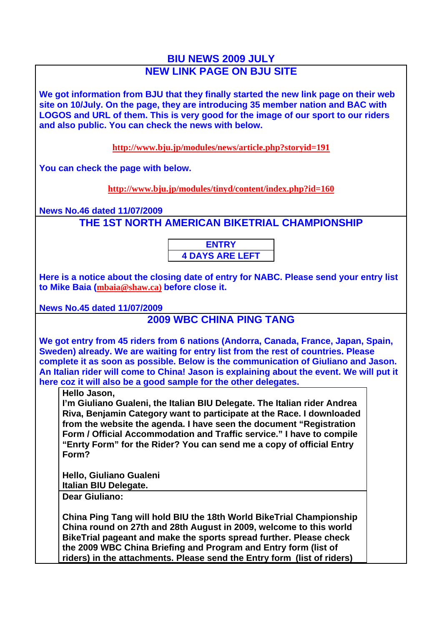## **BIU NEWS 2009 JULY NEW LINK PAGE ON BJU SITE**

**We got information from BJU that they finally started the new link page on their web site on 10/July. On the page, they are introducing 35 member nation and BAC with LOGOS and URL of them. This is very good for the image of our sport to our riders and also public. You can check the news with below.**

**http://www.bju.jp/modules/news/article.php?storyid=191**

**You can check the page with below.**

**http://www.bju.jp/modules/tinyd/content/index.php?id=160**

**News No.46 dated 11/07/2009**

**THE 1ST NORTH AMERICAN BIKETRIAL CHAMPIONSHIP**

**ENTRY 4 DAYS ARE LEFT**

**Here is a notice about the closing date of entry for NABC. Please send your entry list to Mike Baia (mbaia@shaw.ca) before close it.**

**News No.45 dated 11/07/2009**

## **2009 WBC CHINA PING TANG**

**We got entry from 45 riders from 6 nations (Andorra, Canada, France, Japan, Spain, Sweden) already. We are waiting for entry list from the rest of countries. Please complete it as soon as possible. Below is the communication of Giuliano and Jason. An Italian rider will come to China! Jason is explaining about the event. We will put it here coz it will also be a good sample for the other delegates.**

## **Hello Jason,**

**I'm Giuliano Gualeni, the Italian BIU Delegate. The Italian rider Andrea Riva, Benjamin Category want to participate at the Race. I downloaded from the website the agenda. I have seen the document "Registration Form / Official Accommodation and Traffic service." I have to compile "Enrty Form" for the Rider? You can send me a copy of official Entry Form?** 

**Hello, Giuliano Gualeni Italian BIU Delegate.**

**Dear Giuliano:**

**China Ping Tang will hold BIU the 18th World BikeTrial Championship China round on 27th and 28th August in 2009, welcome to this world BikeTrial pageant and make the sports spread further. Please check the 2009 WBC China Briefing and Program and Entry form (list of riders) in the attachments. Please send the Entry form (list of riders)**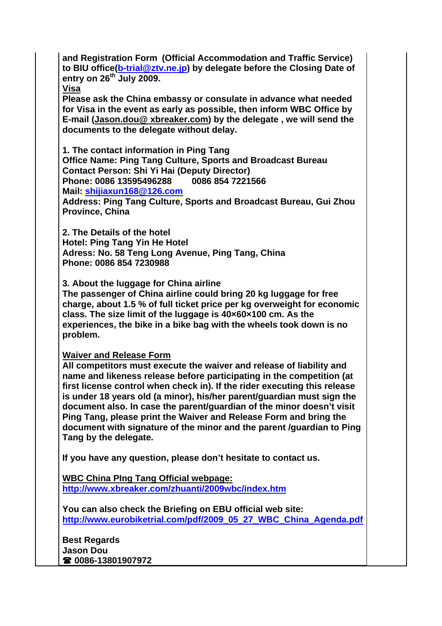**and Registration Form (Official Accommodation and Traffic Service) to BIU office(b-trial@ztv.ne.jp) by delegate before the Closing Date of entry on 26th July 2009.**

**Visa**

**Please ask the China embassy or consulate in advance what needed for Visa in the event as early as possible, then inform WBC Office by E-mail (Jason.dou@ xbreaker.com) by the delegate , we will send the documents to the delegate without delay.**

**1. The contact information in Ping Tang Office Name: Ping Tang Culture, Sports and Broadcast Bureau Contact Person: Shi Yi Hai (Deputy Director) Phone: 0086 13595496288 0086 854 7221566 Mail: shijiaxun168@126.com**

**Address: Ping Tang Culture, Sports and Broadcast Bureau, Gui Zhou Province, China** 

**2. The Details of the hotel Hotel: Ping Tang Yin He Hotel Adress: No. 58 Teng Long Avenue, Ping Tang, China Phone: 0086 854 7230988**

**3. About the luggage for China airline**

**The passenger of China airline could bring 20 kg luggage for free charge, about 1.5 % of full ticket price per kg overweight for economic class. The size limit of the luggage is 40×60×100 cm. As the experiences, the bike in a bike bag with the wheels took down is no problem.**

**Waiver and Release Form**

**All competitors must execute the waiver and release of liability and name and likeness release before participating in the competition (at first license control when check in). If the rider executing this release is under 18 years old (a minor), his/her parent/guardian must sign the document also. In case the parent/guardian of the minor doesn't visit Ping Tang, please print the Waiver and Release Form and bring the document with signature of the minor and the parent /guardian to Ping Tang by the delegate.**

**If you have any question, please don't hesitate to contact us.** 

**WBC China PIng Tang Official webpage: http://www.xbreaker.com/zhuanti/2009wbc/index.htm**

**You can also check the Briefing on EBU official web site: http://www.eurobiketrial.com/pdf/2009\_05\_27\_WBC\_China\_Agenda.pdf**

**Best Regards Jason Dou 0086-13801907972**